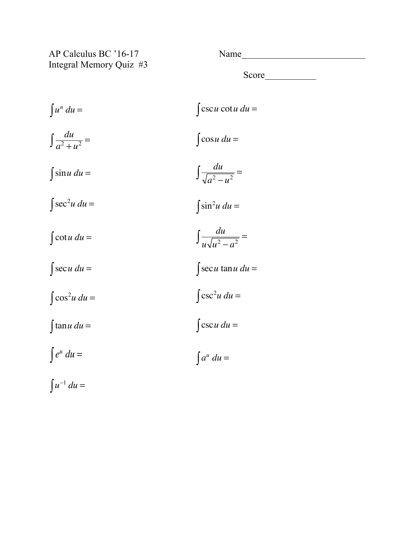AP Calculus BC '16-17 Name Integral Memory Quiz #3

Score and second second second second second second second second second second second second second second second second second second second second second second second second second second second second second second se

 $\int u^n du = \int \csc u \cot u \ du =$  $\int \frac{du}{a^2 + u^2} =$   $\int \cos u \, du =$  $\int \sin u \ du =$  $\int \frac{du}{\sqrt{a^2 - u^2}} =$  $\int \sec^2 u \, du = \int \sin^2 \sin^2 \, du$  $\int \sin^2 u \ du =$  $\int \cot u \, du = \qquad \qquad \int \frac{du}{u\sqrt{u^2 - a^2}} =$  $\int \sec u \, du =$   $\int \sec u \tan u \, du =$  $\int \cos^2 u \, du = \int \csc^2 u$  $\int \csc^2 u \, du =$  $\int \tan u \, du =$   $\int \csc u \, du =$  $\int e^u du = \int a^u$  $\int a^u du =$  $\int u^{-1} du =$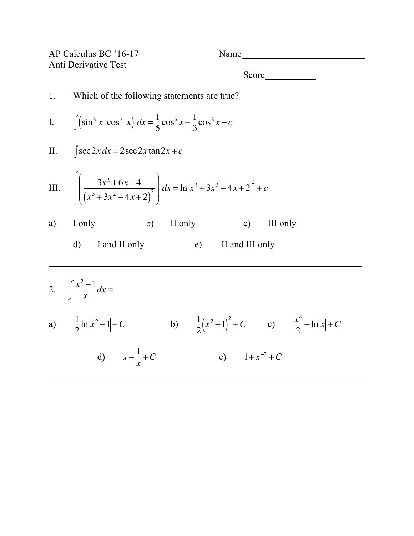|    | AP Calculus BC '16-17<br>Anti Derivative Test                                                                           | Name                                                          |  |  |  |  |  |
|----|-------------------------------------------------------------------------------------------------------------------------|---------------------------------------------------------------|--|--|--|--|--|
|    |                                                                                                                         |                                                               |  |  |  |  |  |
| 1. | Which of the following statements are true?                                                                             |                                                               |  |  |  |  |  |
|    | I. $\int (\sin^3 x \cos^2 x) dx = \frac{1}{5} \cos^5 x - \frac{1}{3} \cos^3 x + c$                                      |                                                               |  |  |  |  |  |
|    | II. $\int \sec 2x dx = 2 \sec 2x \tan 2x + c$                                                                           |                                                               |  |  |  |  |  |
|    | III. $\left  \left( \frac{3x^2 + 6x - 4}{(x^3 + 3x^2 - 4x + 2)^2} \right) dx = \ln  x^3 + 3x^2 - 4x + 2 ^2 + c \right $ |                                                               |  |  |  |  |  |
|    | a) I only<br>b) II only $c)$                                                                                            | III only                                                      |  |  |  |  |  |
|    | (e)<br>$\mathbf{d}$<br>I and II only                                                                                    | II and III only                                               |  |  |  |  |  |
|    | 2. $\int \frac{x^2-1}{x} dx =$                                                                                          |                                                               |  |  |  |  |  |
|    | a) $\frac{1}{2} \ln  x^2 - 1  + C$                                                                                      | b) $\frac{1}{2}(x^2-1)^2 + C$ c) $\frac{x^2}{2} - \ln x  + C$ |  |  |  |  |  |
|    | d) $x - \frac{1}{x} + C$                                                                                                | e) $1+x^{-2}+C$                                               |  |  |  |  |  |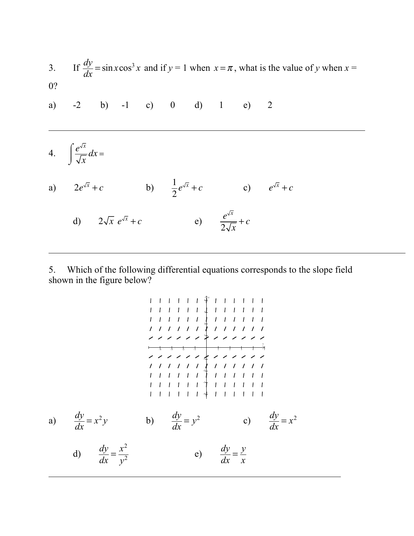|    |                                              |  |  |  |  | 3. If $\frac{dy}{dx} = \sin x \cos^3 x$ and if $y = 1$ when $x = \pi$ , what is the value of y when $x =$ |  |  |                                                                               |  |
|----|----------------------------------------------|--|--|--|--|-----------------------------------------------------------------------------------------------------------|--|--|-------------------------------------------------------------------------------|--|
| 0? | a) $-2$ b) $-1$ c) 0 d) 1 e) 2               |  |  |  |  |                                                                                                           |  |  |                                                                               |  |
|    | 4. $\int \frac{e^{\sqrt{x}}}{\sqrt{x}} dx =$ |  |  |  |  |                                                                                                           |  |  |                                                                               |  |
|    |                                              |  |  |  |  |                                                                                                           |  |  | a) $2e^{\sqrt{x}} + c$ b) $\frac{1}{2}e^{\sqrt{x}} + c$ c) $e^{\sqrt{x}} + c$ |  |
|    |                                              |  |  |  |  | d) $2\sqrt{x} e^{\sqrt{x}} + c$ e) $\frac{e^{\sqrt{x}}}{2} + c$                                           |  |  |                                                                               |  |

5. Which of the following differential equations corresponds to the slope field shown in the figure below?

 $2\sqrt{x}$ 

a) 
$$
\frac{dy}{dx} = x^2y
$$
 b)  $\frac{dy}{dx} = y^2$  c)  $\frac{dy}{dx} = x^2$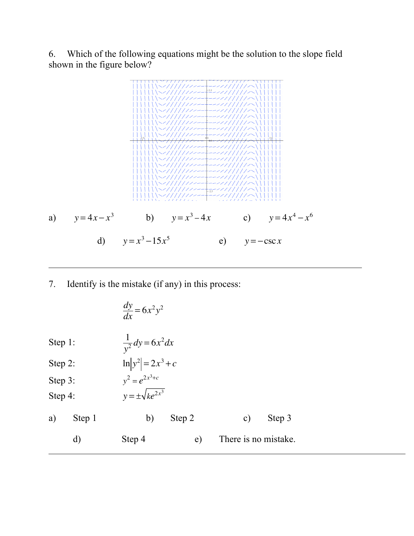6. Which of the following equations might be the solution to the slope field shown in the figure below?



7. Identify is the mistake (if any) in this process:

|            |              | $\frac{dy}{dx} = 6x^2y^2$   |        |  |               |                      |  |  |
|------------|--------------|-----------------------------|--------|--|---------------|----------------------|--|--|
| Step $1$ : |              | $\frac{1}{y^2}dy = 6x^2 dx$ |        |  |               |                      |  |  |
| Step 2:    |              | $\ln  y^2  = 2x^3 + c$      |        |  |               |                      |  |  |
| Step 3:    |              | $v^2 = e^{2x^3+c}$          |        |  |               |                      |  |  |
| Step 4:    |              | $y = \pm \sqrt{ke^{2x^3}}$  |        |  |               |                      |  |  |
| a)         | Step 1       | b)                          | Step 2 |  | $\mathbf{c})$ | Step 3               |  |  |
|            | $\mathbf{d}$ | Step 4                      | e)     |  |               | There is no mistake. |  |  |
|            |              |                             |        |  |               |                      |  |  |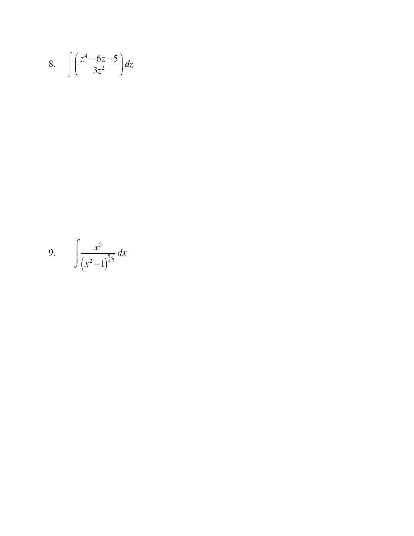$$
8. \quad \int \left(\frac{z^4 - 6z - 5}{3z^2}\right) dz
$$

9. 
$$
\int \frac{x^5}{(x^2-1)^{5/2}} dx
$$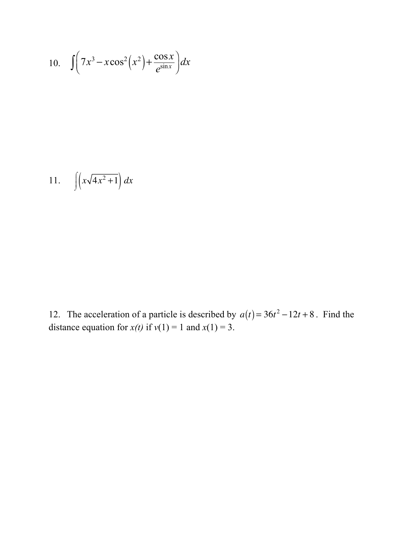10. 
$$
\int \left(7x^3 - x\cos^2\left(x^2\right) + \frac{\cos x}{e^{\sin x}}\right) dx
$$

$$
11. \qquad \int \left( x\sqrt{4x^2+1} \right) dx
$$

12. The acceleration of a particle is described by  $a(t) = 36t^2 - 12t + 8$ . Find the distance equation for  $x(t)$  if  $v(1) = 1$  and  $x(1) = 3$ .